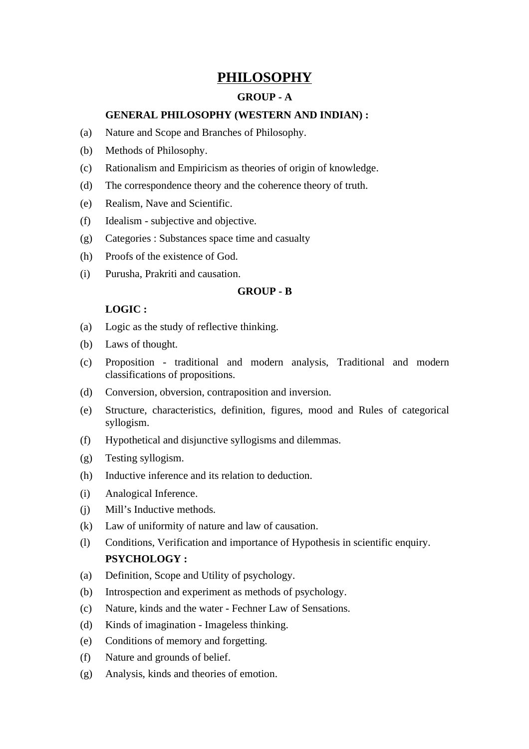# **PHILOSOPHY**

# **GROUP - A**

# **GENERAL PHILOSOPHY (WESTERN AND INDIAN) :**

- (a) Nature and Scope and Branches of Philosophy.
- (b) Methods of Philosophy.
- (c) Rationalism and Empiricism as theories of origin of knowledge.
- (d) The correspondence theory and the coherence theory of truth.
- (e) Realism, Nave and Scientific.
- (f) Idealism subjective and objective.
- (g) Categories : Substances space time and casualty
- (h) Proofs of the existence of God.
- (i) Purusha, Prakriti and causation.

#### **GROUP - B**

# **LOGIC :**

- (a) Logic as the study of reflective thinking.
- (b) Laws of thought.
- (c) Proposition traditional and modern analysis, Traditional and modern classifications of propositions.
- (d) Conversion, obversion, contraposition and inversion.
- (e) Structure, characteristics, definition, figures, mood and Rules of categorical syllogism.
- (f) Hypothetical and disjunctive syllogisms and dilemmas.
- (g) Testing syllogism.
- (h) Inductive inference and its relation to deduction.
- (i) Analogical Inference.
- (j) Mill's Inductive methods.
- (k) Law of uniformity of nature and law of causation.
- (l) Conditions, Verification and importance of Hypothesis in scientific enquiry. **PSYCHOLOGY :**
- (a) Definition, Scope and Utility of psychology.
- (b) Introspection and experiment as methods of psychology.
- (c) Nature, kinds and the water Fechner Law of Sensations.
- (d) Kinds of imagination Imageless thinking.
- (e) Conditions of memory and forgetting.
- (f) Nature and grounds of belief.
- (g) Analysis, kinds and theories of emotion.